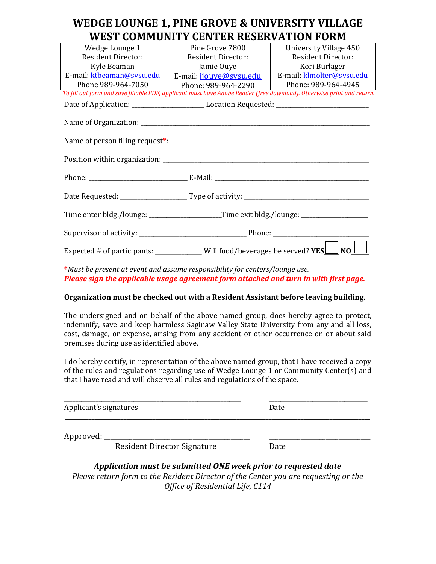### **WEDGE LOUNGE 1, PINE GROVE & UNIVERSITY VILLAGE WEST COMMUNITY CENTER RESERVATION FORM**

| Wedge Lounge 1            | Pine Grove 7800                                                                                                       | University Village 450    |  |  |
|---------------------------|-----------------------------------------------------------------------------------------------------------------------|---------------------------|--|--|
| Resident Director:        | <b>Resident Director:</b>                                                                                             | <b>Resident Director:</b> |  |  |
| Kyle Beaman               | Jamie Ouye                                                                                                            | Kori Burlager             |  |  |
| E-mail: ktbeaman@sysu.edu | E-mail: jjouye@sysu.edu                                                                                               | E-mail: klmolter@sysu.edu |  |  |
| Phone 989-964-7050        | Phone: 989-964-2290                                                                                                   | Phone: 989-964-4945       |  |  |
|                           | To fill out form and save fillable PDF, applicant must have Adobe Reader (free download). Otherwise print and return. |                           |  |  |
|                           | Date of Application: ___________________________________Location Requested: __________________________________        |                           |  |  |
|                           |                                                                                                                       |                           |  |  |
|                           |                                                                                                                       |                           |  |  |
|                           |                                                                                                                       |                           |  |  |
|                           |                                                                                                                       |                           |  |  |
|                           |                                                                                                                       |                           |  |  |
|                           |                                                                                                                       |                           |  |  |
|                           |                                                                                                                       |                           |  |  |
|                           |                                                                                                                       |                           |  |  |
|                           | Time enter bldg./lounge: _____________________Time exit bldg./lounge: _________________                               |                           |  |  |
|                           |                                                                                                                       |                           |  |  |
|                           | Expected # of participants: ______________Will food/beverages be served? $YES$<br>N <sub>O</sub>                      |                           |  |  |

**\****Must be present at event and assume responsibility for centers/lounge use. Please sign the applicable usage agreement form attached and turn in with first page.*

#### **Organization must be checked out with a Resident Assistant before leaving building.**

The undersigned and on behalf of the above named group, does hereby agree to protect, indemnify, save and keep harmless Saginaw Valley State University from any and all loss, cost, damage, or expense, arising from any accident or other occurrence on or about said premises during use as identified above.

I do hereby certify, in representation of the above named group, that I have received a copy of the rules and regulations regarding use of Wedge Lounge 1 or Community Center(s) and that I have read and will observe all rules and regulations of the space.

| Applicant's signatures |                                                                                                                                                                                 | Date |  |
|------------------------|---------------------------------------------------------------------------------------------------------------------------------------------------------------------------------|------|--|
| Approved: _            | <b>Resident Director Signature</b>                                                                                                                                              | Date |  |
| <b>DI</b>              | Application must be submitted ONE week prior to requested date<br>$\alpha$ and $\alpha$ is the state of $\alpha$ and $\alpha$ is the state of $\alpha$ is the state of $\alpha$ |      |  |

*Please return form to the Resident Director of the Center you are requesting or the Office of Residential Life, C114*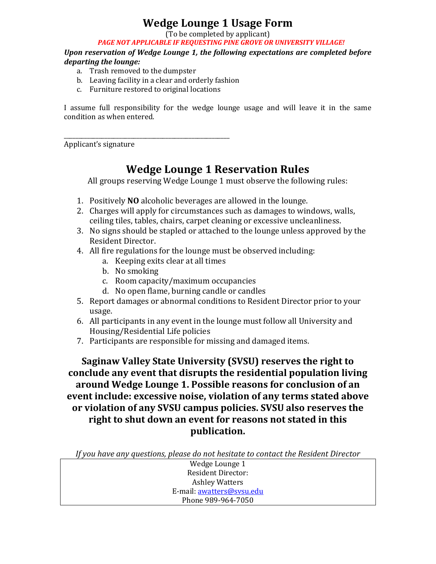# **Wedge Lounge 1 Usage Form**

(To be completed by applicant)

*PAGE NOT APPLICABLE IF REQUESTING PINE GROVE OR UNIVERSITY VILLAGE!*

*Upon reservation of Wedge Lounge 1, the following expectations are completed before departing the lounge:*

- a. Trash removed to the dumpster
- b. Leaving facility in a clear and orderly fashion
- c. Furniture restored to original locations

\_\_\_\_\_\_\_\_\_\_\_\_\_\_\_\_\_\_\_\_\_\_\_\_\_\_\_\_\_\_\_\_\_\_\_\_\_\_\_\_\_\_\_\_\_\_\_\_\_\_\_\_\_\_\_\_\_

I assume full responsibility for the wedge lounge usage and will leave it in the same condition as when entered.

Applicant's signature

# **Wedge Lounge 1 Reservation Rules**

All groups reserving Wedge Lounge 1 must observe the following rules:

- 1. Positively **NO** alcoholic beverages are allowed in the lounge.
- 2. Charges will apply for circumstances such as damages to windows, walls, ceiling tiles, tables, chairs, carpet cleaning or excessive uncleanliness.
- 3. No signs should be stapled or attached to the lounge unless approved by the Resident Director.
- 4. All fire regulations for the lounge must be observed including:
	- a. Keeping exits clear at all times
	- b. No smoking
	- c. Room capacity/maximum occupancies
	- d. No open flame, burning candle or candles
- 5. Report damages or abnormal conditions to Resident Director prior to your usage.
- 6. All participants in any event in the lounge must follow all University and Housing/Residential Life policies
- 7. Participants are responsible for missing and damaged items.

**Saginaw Valley State University (SVSU) reserves the right to conclude any event that disrupts the residential population living around Wedge Lounge 1. Possible reasons for conclusion of an event include: excessive noise, violation of any terms stated above or violation of any SVSU campus policies. SVSU also reserves the right to shut down an event for reasons not stated in this publication.**

*If you have any questions, please do not hesitate to contact the Resident Director*

Wedge Lounge 1 Resident Director: Ashley Watters E-mail: [awatters@svsu.edu](mailto:awatters@svsu.edu) Phone 989-964-7050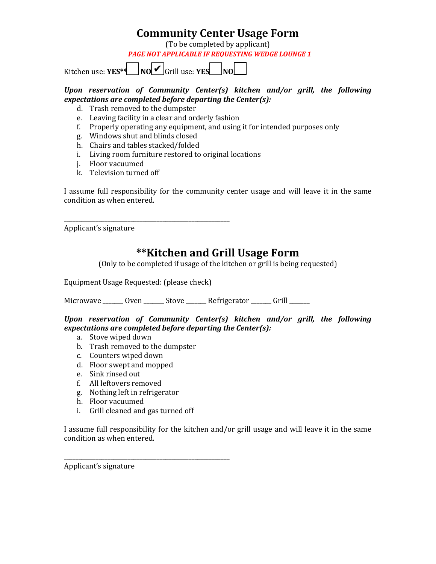### **Community Center Usage Form**

(To be completed by applicant)

*PAGE NOT APPLICABLE IF REQUESTING WEDGE LOUNGE 1*

Kitchen use: **YES\*\*\_\_\_\_ NO\_\_\_\_** Grill use: **YES\_\_\_\_ NO\_\_\_\_** ✔

#### *Upon reservation of Community Center(s) kitchen and/or grill, the following expectations are completed before departing the Center(s):*

- d. Trash removed to the dumpster
- e. Leaving facility in a clear and orderly fashion
- f. Properly operating any equipment, and using it for intended purposes only
- g. Windows shut and blinds closed
- h. Chairs and tables stacked/folded
- i. Living room furniture restored to original locations
- j. Floor vacuumed
- k. Television turned off

I assume full responsibility for the community center usage and will leave it in the same condition as when entered.

Applicant's signature

### **\*\*Kitchen and Grill Usage Form**

(Only to be completed if usage of the kitchen or grill is being requested)

Equipment Usage Requested: (please check)

\_\_\_\_\_\_\_\_\_\_\_\_\_\_\_\_\_\_\_\_\_\_\_\_\_\_\_\_\_\_\_\_\_\_\_\_\_\_\_\_\_\_\_\_\_\_\_\_\_\_\_\_\_\_\_\_\_

Microwave \_\_\_\_\_\_ Oven \_\_\_\_\_\_\_ Stove \_\_\_\_\_\_\_ Refrigerator \_\_\_\_\_\_ Grill \_\_\_\_\_\_

#### *Upon reservation of Community Center(s) kitchen and/or grill, the following expectations are completed before departing the Center(s):*

- a. Stove wiped down
- b. Trash removed to the dumpster
- c. Counters wiped down
- d. Floor swept and mopped
- e. Sink rinsed out
- f. All leftovers removed
- g. Nothing left in refrigerator
- h. Floor vacuumed
- i. Grill cleaned and gas turned off

\_\_\_\_\_\_\_\_\_\_\_\_\_\_\_\_\_\_\_\_\_\_\_\_\_\_\_\_\_\_\_\_\_\_\_\_\_\_\_\_\_\_\_\_\_\_\_\_\_\_\_\_\_\_\_\_\_

I assume full responsibility for the kitchen and/or grill usage and will leave it in the same condition as when entered.

Applicant's signature